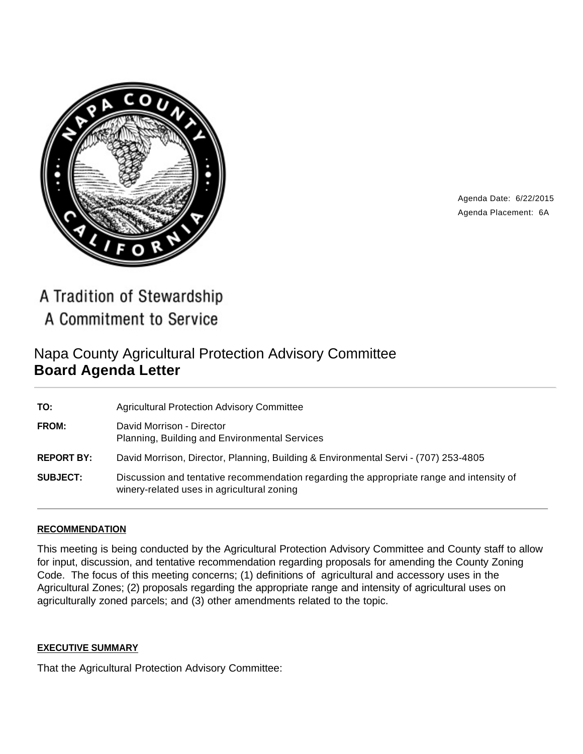

Agenda Date: 6/22/2015 Agenda Placement: 6A

A Tradition of Stewardship A Commitment to Service

# Napa County Agricultural Protection Advisory Committee **Board Agenda Letter**

| TO:               | <b>Agricultural Protection Advisory Committee</b>                                                                                      |
|-------------------|----------------------------------------------------------------------------------------------------------------------------------------|
| FROM:             | David Morrison - Director<br>Planning, Building and Environmental Services                                                             |
| <b>REPORT BY:</b> | David Morrison, Director, Planning, Building & Environmental Servi - (707) 253-4805                                                    |
| <b>SUBJECT:</b>   | Discussion and tentative recommendation regarding the appropriate range and intensity of<br>winery-related uses in agricultural zoning |

# **RECOMMENDATION**

This meeting is being conducted by the Agricultural Protection Advisory Committee and County staff to allow for input, discussion, and tentative recommendation regarding proposals for amending the County Zoning Code. The focus of this meeting concerns; (1) definitions of agricultural and accessory uses in the Agricultural Zones; (2) proposals regarding the appropriate range and intensity of agricultural uses on agriculturally zoned parcels; and (3) other amendments related to the topic.

#### **EXECUTIVE SUMMARY**

That the Agricultural Protection Advisory Committee: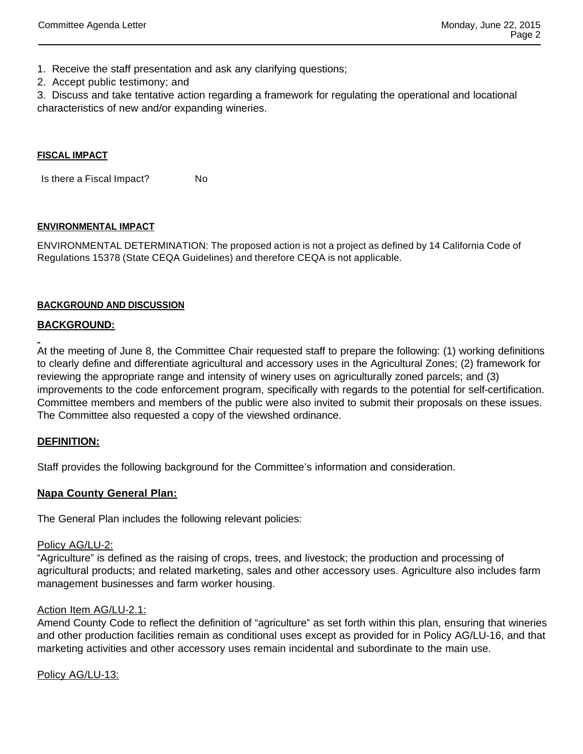- 1. Receive the staff presentation and ask any clarifying questions;
- 2. Accept public testimony; and

3. Discuss and take tentative action regarding a framework for regulating the operational and locational characteristics of new and/or expanding wineries.

#### **FISCAL IMPACT**

Is there a Fiscal Impact? No

#### **ENVIRONMENTAL IMPACT**

ENVIRONMENTAL DETERMINATION: The proposed action is not a project as defined by 14 California Code of Regulations 15378 (State CEQA Guidelines) and therefore CEQA is not applicable.

#### **BACKGROUND AND DISCUSSION**

# **BACKGROUND:**

At the meeting of June 8, the Committee Chair requested staff to prepare the following: (1) working definitions to clearly define and differentiate agricultural and accessory uses in the Agricultural Zones; (2) framework for reviewing the appropriate range and intensity of winery uses on agriculturally zoned parcels; and (3) improvements to the code enforcement program, specifically with regards to the potential for self-certification. Committee members and members of the public were also invited to submit their proposals on these issues. The Committee also requested a copy of the viewshed ordinance.

# **DEFINITION:**

Staff provides the following background for the Committee's information and consideration.

# **Napa County General Plan:**

The General Plan includes the following relevant policies:

#### Policy AG/LU-2:

"Agriculture" is defined as the raising of crops, trees, and livestock; the production and processing of agricultural products; and related marketing, sales and other accessory uses. Agriculture also includes farm management businesses and farm worker housing.

#### Action Item AG/LU-2.1:

Amend County Code to reflect the definition of "agriculture" as set forth within this plan, ensuring that wineries and other production facilities remain as conditional uses except as provided for in Policy AG/LU-16, and that marketing activities and other accessory uses remain incidental and subordinate to the main use.

Policy AG/LU-13: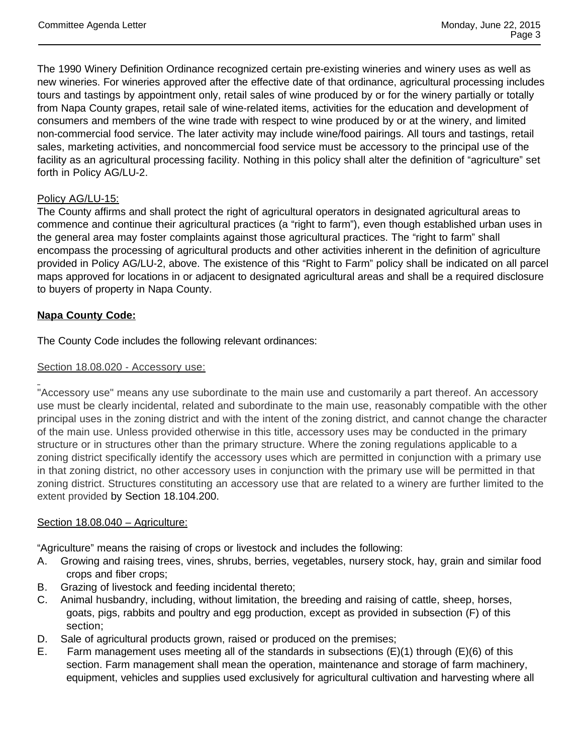The 1990 Winery Definition Ordinance recognized certain pre-existing wineries and winery uses as well as new wineries. For wineries approved after the effective date of that ordinance, agricultural processing includes tours and tastings by appointment only, retail sales of wine produced by or for the winery partially or totally from Napa County grapes, retail sale of wine-related items, activities for the education and development of consumers and members of the wine trade with respect to wine produced by or at the winery, and limited non-commercial food service. The later activity may include wine/food pairings. All tours and tastings, retail sales, marketing activities, and noncommercial food service must be accessory to the principal use of the facility as an agricultural processing facility. Nothing in this policy shall alter the definition of "agriculture" set forth in Policy AG/LU-2.

# Policy AG/LU-15:

The County affirms and shall protect the right of agricultural operators in designated agricultural areas to commence and continue their agricultural practices (a "right to farm"), even though established urban uses in the general area may foster complaints against those agricultural practices. The "right to farm" shall encompass the processing of agricultural products and other activities inherent in the definition of agriculture provided in Policy AG/LU-2, above. The existence of this "Right to Farm" policy shall be indicated on all parcel maps approved for locations in or adjacent to designated agricultural areas and shall be a required disclosure to buyers of property in Napa County.

# **Napa County Code:**

The County Code includes the following relevant ordinances:

#### Section 18.08.020 - Accessory use:

"Accessory use" means any use subordinate to the main use and customarily a part thereof. An accessory use must be clearly incidental, related and subordinate to the main use, reasonably compatible with the other principal uses in the zoning district and with the intent of the zoning district, and cannot change the character of the main use. Unless provided otherwise in this title, accessory uses may be conducted in the primary structure or in structures other than the primary structure. Where the zoning regulations applicable to a zoning district specifically identify the accessory uses which are permitted in conjunction with a primary use in that zoning district, no other accessory uses in conjunction with the primary use will be permitted in that zoning district. Structures constituting an accessory use that are related to a winery are further limited to the extent provided by Section 18.104.200.

#### Section 18.08.040 - Agriculture:

"Agriculture" means the raising of crops or livestock and includes the following:

- A. Growing and raising trees, vines, shrubs, berries, vegetables, nursery stock, hay, grain and similar food crops and fiber crops;
- B. Grazing of livestock and feeding incidental thereto;
- C. Animal husbandry, including, without limitation, the breeding and raising of cattle, sheep, horses, goats, pigs, rabbits and poultry and egg production, except as provided in subsection (F) of this section;
- D. Sale of agricultural products grown, raised or produced on the premises;
- E. Farm management uses meeting all of the standards in subsections (E)(1) through (E)(6) of this section. Farm management shall mean the operation, maintenance and storage of farm machinery, equipment, vehicles and supplies used exclusively for agricultural cultivation and harvesting where all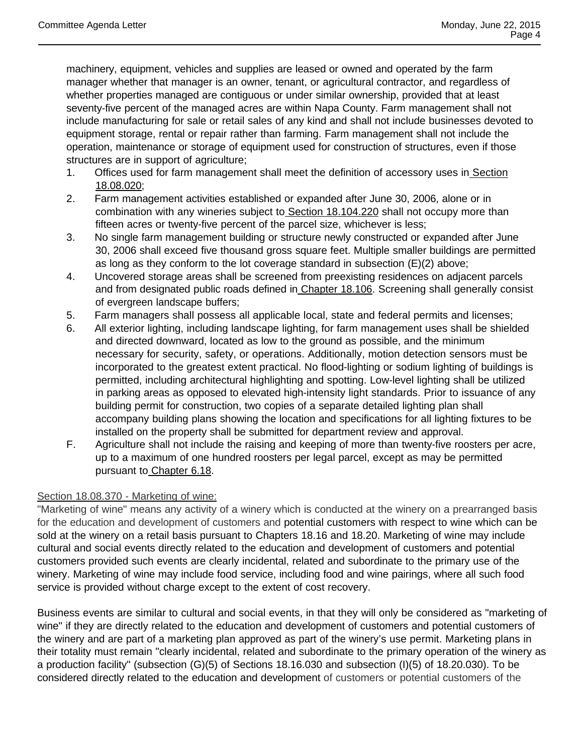machinery, equipment, vehicles and supplies are leased or owned and operated by the farm manager whether that manager is an owner, tenant, or agricultural contractor, and regardless of whether properties managed are contiguous or under similar ownership, provided that at least seventy-five percent of the managed acres are within Napa County. Farm management shall not include manufacturing for sale or retail sales of any kind and shall not include businesses devoted to equipment storage, rental or repair rather than farming. Farm management shall not include the operation, maintenance or storage of equipment used for construction of structures, even if those structures are in support of agriculture;

- 1. Offices used for farm management shall meet the definition of accessory uses in Section 18.08.020;
- 2. Farm management activities established or expanded after June 30, 2006, alone or in combination with any wineries subject to Section 18.104.220 shall not occupy more than fifteen acres or twenty-five percent of the parcel size, whichever is less;
- 3. No single farm management building or structure newly constructed or expanded after June 30, 2006 shall exceed five thousand gross square feet. Multiple smaller buildings are permitted as long as they conform to the lot coverage standard in subsection (E)(2) above;
- 4. Uncovered storage areas shall be screened from preexisting residences on adjacent parcels and from designated public roads defined in Chapter 18.106. Screening shall generally consist of evergreen landscape buffers;
- 5. Farm managers shall possess all applicable local, state and federal permits and licenses;
- 6. All exterior lighting, including landscape lighting, for farm management uses shall be shielded and directed downward, located as low to the ground as possible, and the minimum necessary for security, safety, or operations. Additionally, motion detection sensors must be incorporated to the greatest extent practical. No flood-lighting or sodium lighting of buildings is permitted, including architectural highlighting and spotting. Low-level lighting shall be utilized in parking areas as opposed to elevated high-intensity light standards. Prior to issuance of any building permit for construction, two copies of a separate detailed lighting plan shall accompany building plans showing the location and specifications for all lighting fixtures to be installed on the property shall be submitted for department review and approval.
- F. Agriculture shall not include the raising and keeping of more than twenty-five roosters per acre, up to a maximum of one hundred roosters per legal parcel, except as may be permitted pursuant to Chapter 6.18.

# Section 18.08.370 - Marketing of wine:

"Marketing of wine" means any activity of a winery which is conducted at the winery on a prearranged basis for the education and development of customers and potential customers with respect to wine which can be sold at the winery on a retail basis pursuant to Chapters 18.16 and 18.20. Marketing of wine may include cultural and social events directly related to the education and development of customers and potential customers provided such events are clearly incidental, related and subordinate to the primary use of the winery. Marketing of wine may include food service, including food and wine pairings, where all such food service is provided without charge except to the extent of cost recovery.

Business events are similar to cultural and social events, in that they will only be considered as "marketing of wine" if they are directly related to the education and development of customers and potential customers of the winery and are part of a marketing plan approved as part of the winery's use permit. Marketing plans in their totality must remain "clearly incidental, related and subordinate to the primary operation of the winery as a production facility" (subsection (G)(5) of Sections 18.16.030 and subsection (I)(5) of 18.20.030). To be considered directly related to the education and development of customers or potential customers of the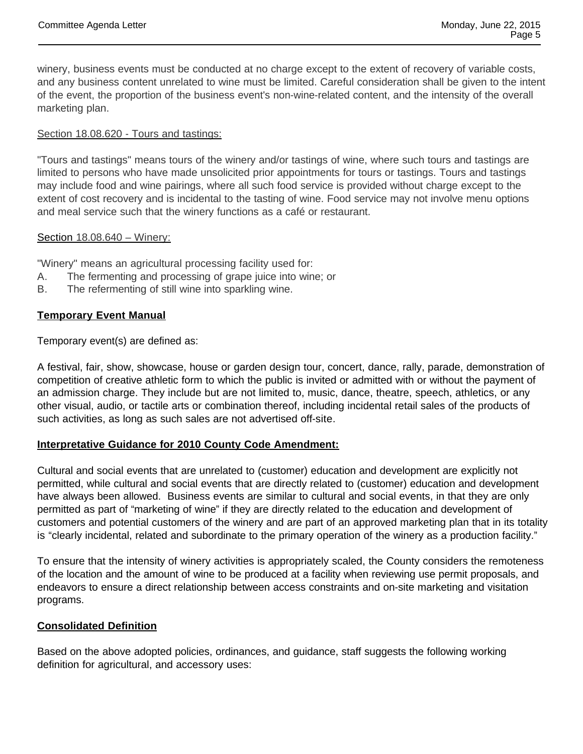winery, business events must be conducted at no charge except to the extent of recovery of variable costs, and any business content unrelated to wine must be limited. Careful consideration shall be given to the intent of the event, the proportion of the business event's non-wine-related content, and the intensity of the overall marketing plan.

## Section 18.08.620 - Tours and tastings:

"Tours and tastings" means tours of the winery and/or tastings of wine, where such tours and tastings are limited to persons who have made unsolicited prior appointments for tours or tastings. Tours and tastings may include food and wine pairings, where all such food service is provided without charge except to the extent of cost recovery and is incidental to the tasting of wine. Food service may not involve menu options and meal service such that the winery functions as a café or restaurant.

#### Section 18.08.640 – Winery:

"Winery" means an agricultural processing facility used for:

- A. The fermenting and processing of grape juice into wine; or
- B. The refermenting of still wine into sparkling wine.

## **Temporary Event Manual**

Temporary event(s) are defined as:

A festival, fair, show, showcase, house or garden design tour, concert, dance, rally, parade, demonstration of competition of creative athletic form to which the public is invited or admitted with or without the payment of an admission charge. They include but are not limited to, music, dance, theatre, speech, athletics, or any other visual, audio, or tactile arts or combination thereof, including incidental retail sales of the products of such activities, as long as such sales are not advertised off-site.

# **Interpretative Guidance for 2010 County Code Amendment:**

Cultural and social events that are unrelated to (customer) education and development are explicitly not permitted, while cultural and social events that are directly related to (customer) education and development have always been allowed. Business events are similar to cultural and social events, in that they are only permitted as part of "marketing of wine" if they are directly related to the education and development of customers and potential customers of the winery and are part of an approved marketing plan that in its totality is "clearly incidental, related and subordinate to the primary operation of the winery as a production facility."

To ensure that the intensity of winery activities is appropriately scaled, the County considers the remoteness of the location and the amount of wine to be produced at a facility when reviewing use permit proposals, and endeavors to ensure a direct relationship between access constraints and on-site marketing and visitation programs.

# **Consolidated Definition**

Based on the above adopted policies, ordinances, and guidance, staff suggests the following working definition for agricultural, and accessory uses: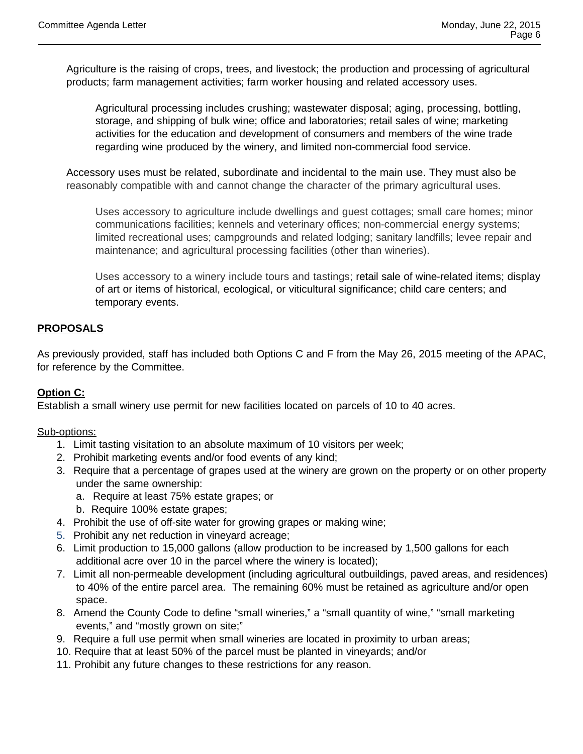Agriculture is the raising of crops, trees, and livestock; the production and processing of agricultural products; farm management activities; farm worker housing and related accessory uses.

Agricultural processing includes crushing; wastewater disposal; aging, processing, bottling, storage, and shipping of bulk wine; office and laboratories; retail sales of wine; marketing activities for the education and development of consumers and members of the wine trade regarding wine produced by the winery, and limited non-commercial food service.

Accessory uses must be related, subordinate and incidental to the main use. They must also be reasonably compatible with and cannot change the character of the primary agricultural uses.

Uses accessory to agriculture include dwellings and guest cottages; small care homes; minor communications facilities; kennels and veterinary offices; non-commercial energy systems; limited recreational uses; campgrounds and related lodging; sanitary landfills; levee repair and maintenance; and agricultural processing facilities (other than wineries).

Uses accessory to a winery include tours and tastings; retail sale of wine-related items; display of art or items of historical, ecological, or viticultural significance; child care centers; and temporary events.

# **PROPOSALS**

As previously provided, staff has included both Options C and F from the May 26, 2015 meeting of the APAC, for reference by the Committee.

# **Option C:**

Establish a small winery use permit for new facilities located on parcels of 10 to 40 acres.

#### Sub-options:

- 1. Limit tasting visitation to an absolute maximum of 10 visitors per week;
- 2. Prohibit marketing events and/or food events of any kind;
- 3. Require that a percentage of grapes used at the winery are grown on the property or on other property under the same ownership:
	- a. Require at least 75% estate grapes; or
	- b. Require 100% estate grapes;
- 4. Prohibit the use of off-site water for growing grapes or making wine;
- 5. Prohibit any net reduction in vineyard acreage;
- 6. Limit production to 15,000 gallons (allow production to be increased by 1,500 gallons for each additional acre over 10 in the parcel where the winery is located);
- 7. Limit all non-permeable development (including agricultural outbuildings, paved areas, and residences) to 40% of the entire parcel area. The remaining 60% must be retained as agriculture and/or open space.
- 8. Amend the County Code to define "small wineries," a "small quantity of wine," "small marketing events," and "mostly grown on site;"
- 9. Require a full use permit when small wineries are located in proximity to urban areas;
- 10. Require that at least 50% of the parcel must be planted in vineyards; and/or
- 11. Prohibit any future changes to these restrictions for any reason.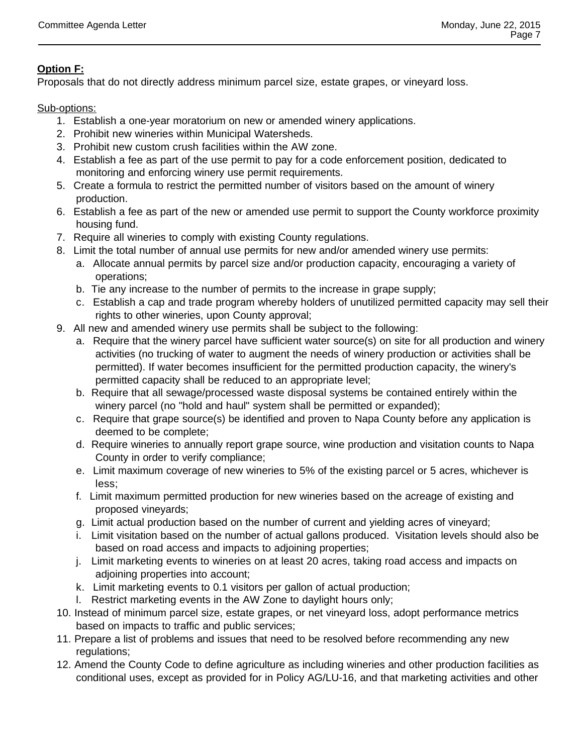# **Option F:**

Proposals that do not directly address minimum parcel size, estate grapes, or vineyard loss.

Sub-options:

- 1. Establish a one-year moratorium on new or amended winery applications.
- 2. Prohibit new wineries within Municipal Watersheds.
- 3. Prohibit new custom crush facilities within the AW zone.
- 4. Establish a fee as part of the use permit to pay for a code enforcement position, dedicated to monitoring and enforcing winery use permit requirements.
- 5. Create a formula to restrict the permitted number of visitors based on the amount of winery production.
- 6. Establish a fee as part of the new or amended use permit to support the County workforce proximity housing fund.
- 7. Require all wineries to comply with existing County regulations.
- 8. Limit the total number of annual use permits for new and/or amended winery use permits:
	- a. Allocate annual permits by parcel size and/or production capacity, encouraging a variety of operations;
	- b. Tie any increase to the number of permits to the increase in grape supply;
	- c. Establish a cap and trade program whereby holders of unutilized permitted capacity may sell their rights to other wineries, upon County approval;
- 9. All new and amended winery use permits shall be subject to the following:
	- a. Require that the winery parcel have sufficient water source(s) on site for all production and winery activities (no trucking of water to augment the needs of winery production or activities shall be permitted). If water becomes insufficient for the permitted production capacity, the winery's permitted capacity shall be reduced to an appropriate level;
	- b. Require that all sewage/processed waste disposal systems be contained entirely within the winery parcel (no "hold and haul" system shall be permitted or expanded);
	- c. Require that grape source(s) be identified and proven to Napa County before any application is deemed to be complete;
	- d. Require wineries to annually report grape source, wine production and visitation counts to Napa County in order to verify compliance;
	- e. Limit maximum coverage of new wineries to 5% of the existing parcel or 5 acres, whichever is less;
	- f. Limit maximum permitted production for new wineries based on the acreage of existing and proposed vineyards;
	- g. Limit actual production based on the number of current and yielding acres of vineyard;
	- i. Limit visitation based on the number of actual gallons produced. Visitation levels should also be based on road access and impacts to adjoining properties;
	- j. Limit marketing events to wineries on at least 20 acres, taking road access and impacts on adjoining properties into account;
	- k. Limit marketing events to 0.1 visitors per gallon of actual production;
	- l. Restrict marketing events in the AW Zone to daylight hours only;
- 10. Instead of minimum parcel size, estate grapes, or net vineyard loss, adopt performance metrics based on impacts to traffic and public services;
- 11. Prepare a list of problems and issues that need to be resolved before recommending any new regulations;
- 12. Amend the County Code to define agriculture as including wineries and other production facilities as conditional uses, except as provided for in Policy AG/LU-16, and that marketing activities and other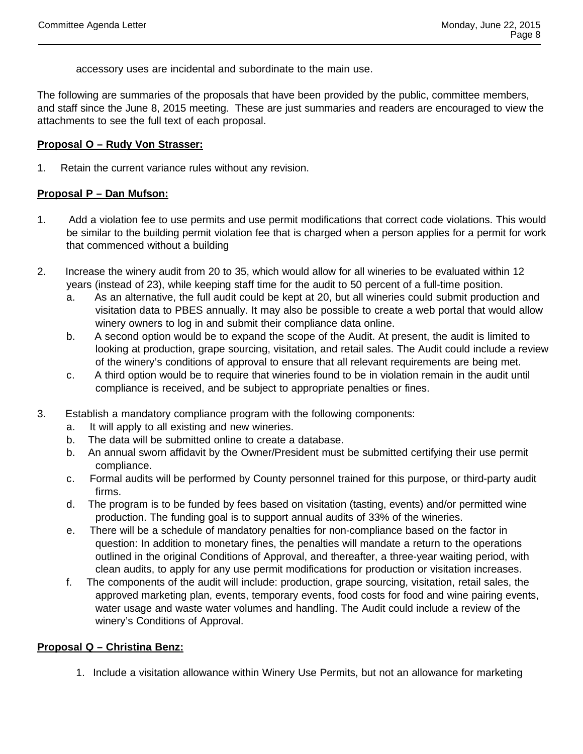accessory uses are incidental and subordinate to the main use.

The following are summaries of the proposals that have been provided by the public, committee members, and staff since the June 8, 2015 meeting. These are just summaries and readers are encouraged to view the attachments to see the full text of each proposal.

#### **Proposal O – Rudy Von Strasser:**

1. Retain the current variance rules without any revision.

## **Proposal P – Dan Mufson:**

- 1. Add a violation fee to use permits and use permit modifications that correct code violations. This would be similar to the building permit violation fee that is charged when a person applies for a permit for work that commenced without a building
- 2. Increase the winery audit from 20 to 35, which would allow for all wineries to be evaluated within 12 years (instead of 23), while keeping staff time for the audit to 50 percent of a full-time position.
	- a. As an alternative, the full audit could be kept at 20, but all wineries could submit production and visitation data to PBES annually. It may also be possible to create a web portal that would allow winery owners to log in and submit their compliance data online.
	- b. A second option would be to expand the scope of the Audit. At present, the audit is limited to looking at production, grape sourcing, visitation, and retail sales. The Audit could include a review of the winery's conditions of approval to ensure that all relevant requirements are being met.
	- c. A third option would be to require that wineries found to be in violation remain in the audit until compliance is received, and be subject to appropriate penalties or fines.
- 3. Establish a mandatory compliance program with the following components:
	- a. It will apply to all existing and new wineries.
	- b. The data will be submitted online to create a database.
	- b. An annual sworn affidavit by the Owner/President must be submitted certifying their use permit compliance.
	- c. Formal audits will be performed by County personnel trained for this purpose, or third-party audit firms.
	- d. The program is to be funded by fees based on visitation (tasting, events) and/or permitted wine production. The funding goal is to support annual audits of 33% of the wineries.
	- e. There will be a schedule of mandatory penalties for non-compliance based on the factor in question: In addition to monetary fines, the penalties will mandate a return to the operations outlined in the original Conditions of Approval, and thereafter, a three-year waiting period, with clean audits, to apply for any use permit modifications for production or visitation increases.
	- f. The components of the audit will include: production, grape sourcing, visitation, retail sales, the approved marketing plan, events, temporary events, food costs for food and wine pairing events, water usage and waste water volumes and handling. The Audit could include a review of the winery's Conditions of Approval.

# **Proposal Q – Christina Benz:**

1. Include a visitation allowance within Winery Use Permits, but not an allowance for marketing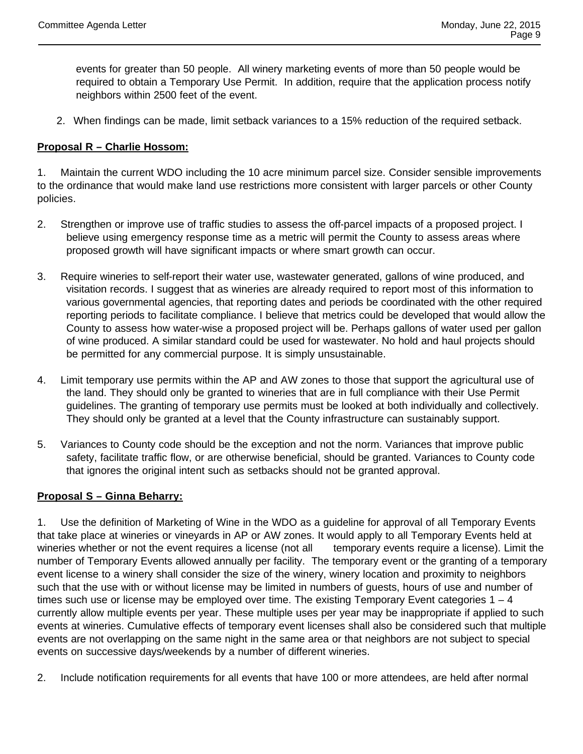events for greater than 50 people. All winery marketing events of more than 50 people would be required to obtain a Temporary Use Permit. In addition, require that the application process notify neighbors within 2500 feet of the event.

2. When findings can be made, limit setback variances to a 15% reduction of the required setback.

# **Proposal R – Charlie Hossom:**

1. Maintain the current WDO including the 10 acre minimum parcel size. Consider sensible improvements to the ordinance that would make land use restrictions more consistent with larger parcels or other County policies.

- 2. Strengthen or improve use of traffic studies to assess the off-parcel impacts of a proposed project. I believe using emergency response time as a metric will permit the County to assess areas where proposed growth will have significant impacts or where smart growth can occur.
- 3. Require wineries to self-report their water use, wastewater generated, gallons of wine produced, and visitation records. I suggest that as wineries are already required to report most of this information to various governmental agencies, that reporting dates and periods be coordinated with the other required reporting periods to facilitate compliance. I believe that metrics could be developed that would allow the County to assess how water-wise a proposed project will be. Perhaps gallons of water used per gallon of wine produced. A similar standard could be used for wastewater. No hold and haul projects should be permitted for any commercial purpose. It is simply unsustainable.
- 4. Limit temporary use permits within the AP and AW zones to those that support the agricultural use of the land. They should only be granted to wineries that are in full compliance with their Use Permit guidelines. The granting of temporary use permits must be looked at both individually and collectively. They should only be granted at a level that the County infrastructure can sustainably support.
- 5. Variances to County code should be the exception and not the norm. Variances that improve public safety, facilitate traffic flow, or are otherwise beneficial, should be granted. Variances to County code that ignores the original intent such as setbacks should not be granted approval.

#### **Proposal S – Ginna Beharry:**

1. Use the definition of Marketing of Wine in the WDO as a guideline for approval of all Temporary Events that take place at wineries or vineyards in AP or AW zones. It would apply to all Temporary Events held at wineries whether or not the event requires a license (not all temporary events require a license). Limit the number of Temporary Events allowed annually per facility. The temporary event or the granting of a temporary event license to a winery shall consider the size of the winery, winery location and proximity to neighbors such that the use with or without license may be limited in numbers of guests, hours of use and number of times such use or license may be employed over time. The existing Temporary Event categories  $1 - 4$ currently allow multiple events per year. These multiple uses per year may be inappropriate if applied to such events at wineries. Cumulative effects of temporary event licenses shall also be considered such that multiple events are not overlapping on the same night in the same area or that neighbors are not subject to special events on successive days/weekends by a number of different wineries.

2. Include notification requirements for all events that have 100 or more attendees, are held after normal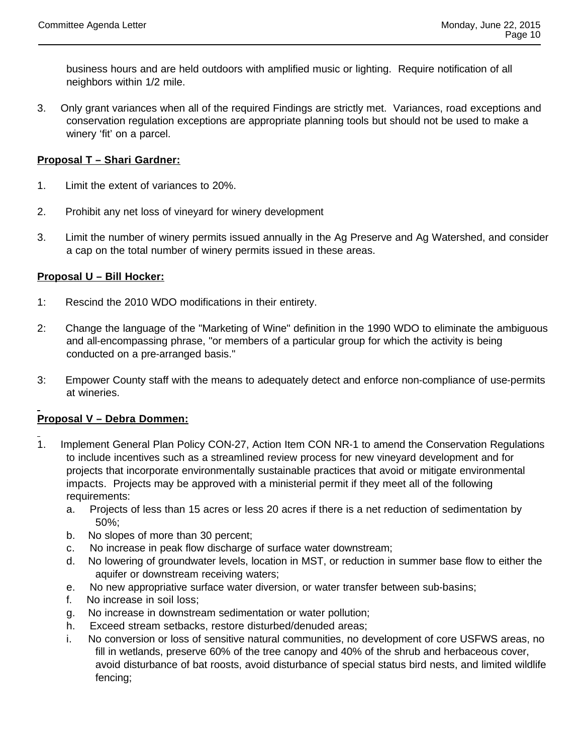business hours and are held outdoors with amplified music or lighting. Require notification of all neighbors within 1/2 mile.

3. Only grant variances when all of the required Findings are strictly met. Variances, road exceptions and conservation regulation exceptions are appropriate planning tools but should not be used to make a winery 'fit' on a parcel.

# **Proposal T – Shari Gardner:**

- 1. Limit the extent of variances to 20%.
- 2. Prohibit any net loss of vineyard for winery development
- 3. Limit the number of winery permits issued annually in the Ag Preserve and Ag Watershed, and consider a cap on the total number of winery permits issued in these areas.

# **Proposal U – Bill Hocker:**

- 1: Rescind the 2010 WDO modifications in their entirety.
- 2: Change the language of the "Marketing of Wine" definition in the 1990 WDO to eliminate the ambiguous and all-encompassing phrase, "or members of a particular group for which the activity is being conducted on a pre-arranged basis."
- 3: Empower County staff with the means to adequately detect and enforce non-compliance of use-permits at wineries.

# **Proposal V – Debra Dommen:**

- 1. Implement General Plan Policy CON-27, Action Item CON NR-1 to amend the Conservation Regulations to include incentives such as a streamlined review process for new vineyard development and for projects that incorporate environmentally sustainable practices that avoid or mitigate environmental impacts. Projects may be approved with a ministerial permit if they meet all of the following requirements:
	- a. Projects of less than 15 acres or less 20 acres if there is a net reduction of sedimentation by 50%;
	- b. No slopes of more than 30 percent;
	- c. No increase in peak flow discharge of surface water downstream;
	- d. No lowering of groundwater levels, location in MST, or reduction in summer base flow to either the aquifer or downstream receiving waters;
	- e. No new appropriative surface water diversion, or water transfer between sub-basins;
	- f. No increase in soil loss;
	- g. No increase in downstream sedimentation or water pollution;
	- h. Exceed stream setbacks, restore disturbed/denuded areas;
	- i. No conversion or loss of sensitive natural communities, no development of core USFWS areas, no fill in wetlands, preserve 60% of the tree canopy and 40% of the shrub and herbaceous cover, avoid disturbance of bat roosts, avoid disturbance of special status bird nests, and limited wildlife fencing;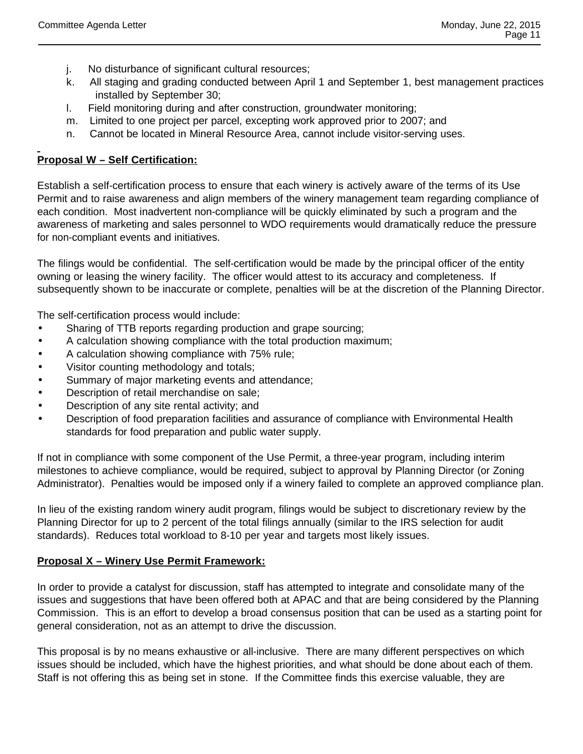- j. No disturbance of significant cultural resources;
- k. All staging and grading conducted between April 1 and September 1, best management practices installed by September 30;
- l. Field monitoring during and after construction, groundwater monitoring;
- m. Limited to one project per parcel, excepting work approved prior to 2007; and
- n. Cannot be located in Mineral Resource Area, cannot include visitor-serving uses.

# **Proposal W – Self Certification:**

Establish a self-certification process to ensure that each winery is actively aware of the terms of its Use Permit and to raise awareness and align members of the winery management team regarding compliance of each condition. Most inadvertent non-compliance will be quickly eliminated by such a program and the awareness of marketing and sales personnel to WDO requirements would dramatically reduce the pressure for non-compliant events and initiatives.

The filings would be confidential. The self-certification would be made by the principal officer of the entity owning or leasing the winery facility. The officer would attest to its accuracy and completeness. If subsequently shown to be inaccurate or complete, penalties will be at the discretion of the Planning Director.

The self-certification process would include:

- Sharing of TTB reports regarding production and grape sourcing;
- A calculation showing compliance with the total production maximum;
- A calculation showing compliance with 75% rule;
- Visitor counting methodology and totals;
- Summary of major marketing events and attendance;
- Description of retail merchandise on sale;
- Description of any site rental activity; and
- Description of food preparation facilities and assurance of compliance with Environmental Health standards for food preparation and public water supply.

If not in compliance with some component of the Use Permit, a three-year program, including interim milestones to achieve compliance, would be required, subject to approval by Planning Director (or Zoning Administrator). Penalties would be imposed only if a winery failed to complete an approved compliance plan.

In lieu of the existing random winery audit program, filings would be subject to discretionary review by the Planning Director for up to 2 percent of the total filings annually (similar to the IRS selection for audit standards). Reduces total workload to 8-10 per year and targets most likely issues.

# **Proposal X – Winery Use Permit Framework:**

In order to provide a catalyst for discussion, staff has attempted to integrate and consolidate many of the issues and suggestions that have been offered both at APAC and that are being considered by the Planning Commission. This is an effort to develop a broad consensus position that can be used as a starting point for general consideration, not as an attempt to drive the discussion.

This proposal is by no means exhaustive or all-inclusive. There are many different perspectives on which issues should be included, which have the highest priorities, and what should be done about each of them. Staff is not offering this as being set in stone. If the Committee finds this exercise valuable, they are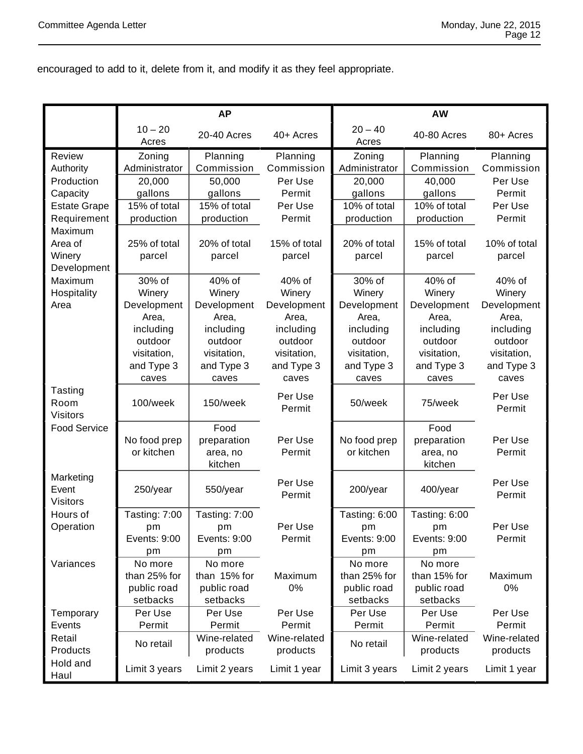encouraged to add to it, delete from it, and modify it as they feel appropriate.

|                                                                                                                     | <b>AP</b>                                                                                              |                                                                                                        |                                                                                                        | AW                                                                                                     |                                                                                                        |                                                                                                        |
|---------------------------------------------------------------------------------------------------------------------|--------------------------------------------------------------------------------------------------------|--------------------------------------------------------------------------------------------------------|--------------------------------------------------------------------------------------------------------|--------------------------------------------------------------------------------------------------------|--------------------------------------------------------------------------------------------------------|--------------------------------------------------------------------------------------------------------|
|                                                                                                                     | $10 - 20$<br>Acres                                                                                     | 20-40 Acres                                                                                            | 40+ Acres                                                                                              | $20 - 40$<br>Acres                                                                                     | 40-80 Acres                                                                                            | 80+ Acres                                                                                              |
| Review<br>Authority<br>Production                                                                                   | Zoning<br>Administrator<br>20,000                                                                      | Planning<br>Commission<br>50,000                                                                       | Planning<br>Commission<br>Per Use                                                                      | Zoning<br>Administrator<br>20,000                                                                      | Planning<br>Commission<br>40,000                                                                       | Planning<br>Commission<br>Per Use                                                                      |
| Capacity                                                                                                            | gallons                                                                                                | gallons                                                                                                | Permit                                                                                                 | gallons                                                                                                | gallons                                                                                                | Permit                                                                                                 |
| <b>Estate Grape</b><br>Requirement<br>Maximum<br>Area of<br>Winery<br>Development<br>Maximum<br>Hospitality<br>Area | 15% of total<br>production                                                                             | 15% of total<br>production                                                                             | Per Use<br>Permit                                                                                      | 10% of total<br>production                                                                             | 10% of total<br>production                                                                             | Per Use<br>Permit                                                                                      |
|                                                                                                                     | 25% of total<br>parcel                                                                                 | 20% of total<br>parcel                                                                                 | 15% of total<br>parcel                                                                                 | 20% of total<br>parcel                                                                                 | 15% of total<br>parcel                                                                                 | 10% of total<br>parcel                                                                                 |
|                                                                                                                     | 30% of<br>Winery<br>Development<br>Area,<br>including<br>outdoor<br>visitation,<br>and Type 3<br>caves | 40% of<br>Winery<br>Development<br>Area,<br>including<br>outdoor<br>visitation,<br>and Type 3<br>caves | 40% of<br>Winery<br>Development<br>Area,<br>including<br>outdoor<br>visitation,<br>and Type 3<br>caves | 30% of<br>Winery<br>Development<br>Area,<br>including<br>outdoor<br>visitation,<br>and Type 3<br>caves | 40% of<br>Winery<br>Development<br>Area,<br>including<br>outdoor<br>visitation,<br>and Type 3<br>caves | 40% of<br>Winery<br>Development<br>Area,<br>including<br>outdoor<br>visitation,<br>and Type 3<br>caves |
| Tasting<br>Room<br><b>Visitors</b>                                                                                  | 100/week                                                                                               | 150/week                                                                                               | Per Use<br>Permit                                                                                      | 50/week                                                                                                | 75/week                                                                                                | Per Use<br>Permit                                                                                      |
| <b>Food Service</b>                                                                                                 | No food prep<br>or kitchen                                                                             | Food<br>preparation<br>area, no<br>kitchen                                                             | Per Use<br>Permit                                                                                      | No food prep<br>or kitchen                                                                             | Food<br>preparation<br>area, no<br>kitchen                                                             | Per Use<br>Permit                                                                                      |
| Marketing<br>Event<br><b>Visitors</b>                                                                               | 250/year                                                                                               | 550/year                                                                                               | Per Use<br>Permit                                                                                      | 200/year                                                                                               | 400/year                                                                                               | Per Use<br>Permit                                                                                      |
| Hours of<br>Operation                                                                                               | Tasting: 7:00<br>pm<br>Events: 9:00<br>pm                                                              | Tasting: 7:00<br>pm<br>Events: 9:00<br>pm                                                              | Per Use<br>Permit                                                                                      | Tasting: 6:00<br>pm<br>Events: 9:00<br>pm                                                              | Tasting: 6:00<br>pm<br>Events: 9:00<br>pm                                                              | Per Use<br>Permit                                                                                      |
| Variances                                                                                                           | No more<br>than 25% for<br>public road<br>setbacks                                                     | No more<br>than 15% for<br>public road<br>setbacks                                                     | Maximum<br>0%                                                                                          | No more<br>than 25% for<br>public road<br>setbacks                                                     | No more<br>than 15% for<br>public road<br>setbacks                                                     | Maximum<br>0%                                                                                          |
| Temporary<br>Events                                                                                                 | Per Use<br>Permit                                                                                      | Per Use<br>Permit                                                                                      | Per Use<br>Permit                                                                                      | Per Use<br>Permit                                                                                      | Per Use<br>Permit                                                                                      | Per Use<br>Permit                                                                                      |
| Retail<br>Products                                                                                                  | No retail                                                                                              | Wine-related<br>products                                                                               | Wine-related<br>products                                                                               | No retail                                                                                              | Wine-related<br>products                                                                               | Wine-related<br>products                                                                               |
| Hold and<br>Haul                                                                                                    | Limit 3 years                                                                                          | Limit 2 years                                                                                          | Limit 1 year                                                                                           | Limit 3 years                                                                                          | Limit 2 years                                                                                          | Limit 1 year                                                                                           |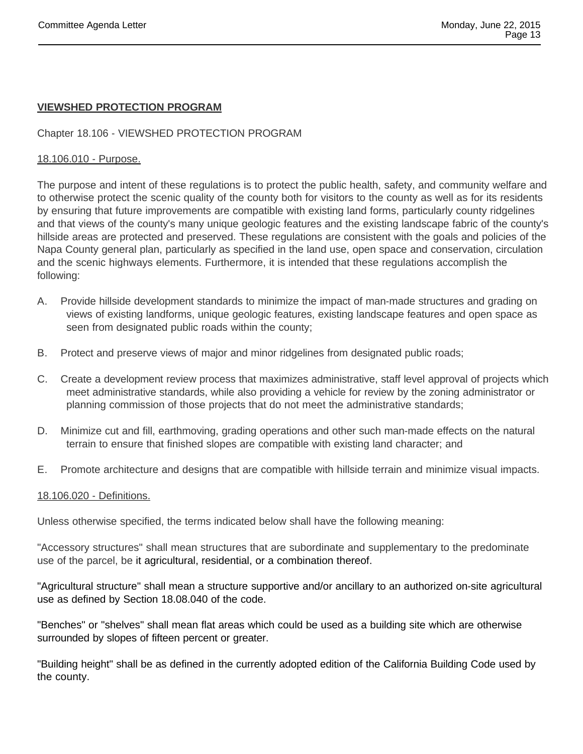# **VIEWSHED PROTECTION PROGRAM**

# Chapter 18.106 - VIEWSHED PROTECTION PROGRAM

## 18.106.010 - Purpose.

The purpose and intent of these regulations is to protect the public health, safety, and community welfare and to otherwise protect the scenic quality of the county both for visitors to the county as well as for its residents by ensuring that future improvements are compatible with existing land forms, particularly county ridgelines and that views of the county's many unique geologic features and the existing landscape fabric of the county's hillside areas are protected and preserved. These regulations are consistent with the goals and policies of the Napa County general plan, particularly as specified in the land use, open space and conservation, circulation and the scenic highways elements. Furthermore, it is intended that these regulations accomplish the following:

- A. Provide hillside development standards to minimize the impact of man-made structures and grading on views of existing landforms, unique geologic features, existing landscape features and open space as seen from designated public roads within the county;
- B. Protect and preserve views of major and minor ridgelines from designated public roads;
- C. Create a development review process that maximizes administrative, staff level approval of projects which meet administrative standards, while also providing a vehicle for review by the zoning administrator or planning commission of those projects that do not meet the administrative standards;
- D. Minimize cut and fill, earthmoving, grading operations and other such man-made effects on the natural terrain to ensure that finished slopes are compatible with existing land character; and
- E. Promote architecture and designs that are compatible with hillside terrain and minimize visual impacts.

#### 18.106.020 - Definitions.

Unless otherwise specified, the terms indicated below shall have the following meaning:

"Accessory structures" shall mean structures that are subordinate and supplementary to the predominate use of the parcel, be it agricultural, residential, or a combination thereof.

"Agricultural structure" shall mean a structure supportive and/or ancillary to an authorized on-site agricultural use as defined by Section 18.08.040 of the code.

"Benches" or "shelves" shall mean flat areas which could be used as a building site which are otherwise surrounded by slopes of fifteen percent or greater.

"Building height" shall be as defined in the currently adopted edition of the California Building Code used by the county.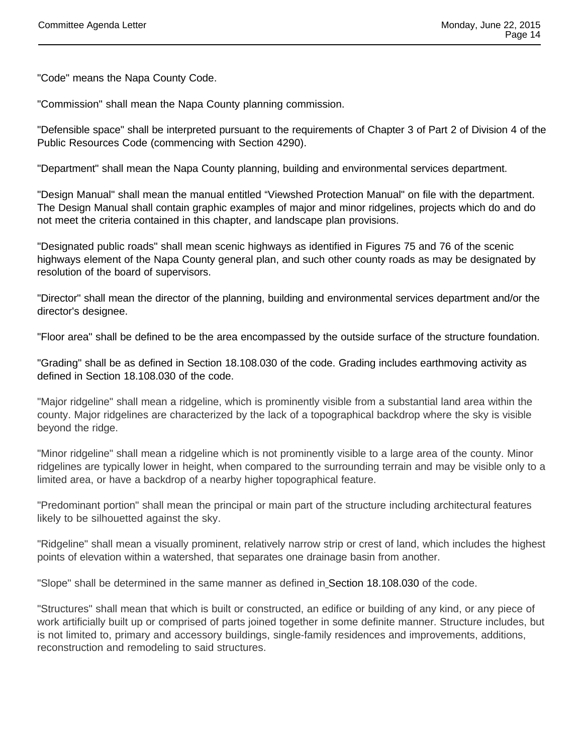"Code" means the Napa County Code.

"Commission" shall mean the Napa County planning commission.

"Defensible space" shall be interpreted pursuant to the requirements of Chapter 3 of Part 2 of Division 4 of the Public Resources Code (commencing with Section 4290).

"Department" shall mean the Napa County planning, building and environmental services department.

"Design Manual" shall mean the manual entitled "Viewshed Protection Manual" on file with the department. The Design Manual shall contain graphic examples of major and minor ridgelines, projects which do and do not meet the criteria contained in this chapter, and landscape plan provisions.

"Designated public roads" shall mean scenic highways as identified in Figures 75 and 76 of the scenic highways element of the Napa County general plan, and such other county roads as may be designated by resolution of the board of supervisors.

"Director" shall mean the director of the planning, building and environmental services department and/or the director's designee.

"Floor area" shall be defined to be the area encompassed by the outside surface of the structure foundation.

"Grading" shall be as defined in Section 18.108.030 of the code. Grading includes earthmoving activity as defined in Section 18.108.030 of the code.

"Major ridgeline" shall mean a ridgeline, which is prominently visible from a substantial land area within the county. Major ridgelines are characterized by the lack of a topographical backdrop where the sky is visible beyond the ridge.

"Minor ridgeline" shall mean a ridgeline which is not prominently visible to a large area of the county. Minor ridgelines are typically lower in height, when compared to the surrounding terrain and may be visible only to a limited area, or have a backdrop of a nearby higher topographical feature.

"Predominant portion" shall mean the principal or main part of the structure including architectural features likely to be silhouetted against the sky.

"Ridgeline" shall mean a visually prominent, relatively narrow strip or crest of land, which includes the highest points of elevation within a watershed, that separates one drainage basin from another.

"Slope" shall be determined in the same manner as defined in Section 18.108.030 of the code.

"Structures" shall mean that which is built or constructed, an edifice or building of any kind, or any piece of work artificially built up or comprised of parts joined together in some definite manner. Structure includes, but is not limited to, primary and accessory buildings, single-family residences and improvements, additions, reconstruction and remodeling to said structures.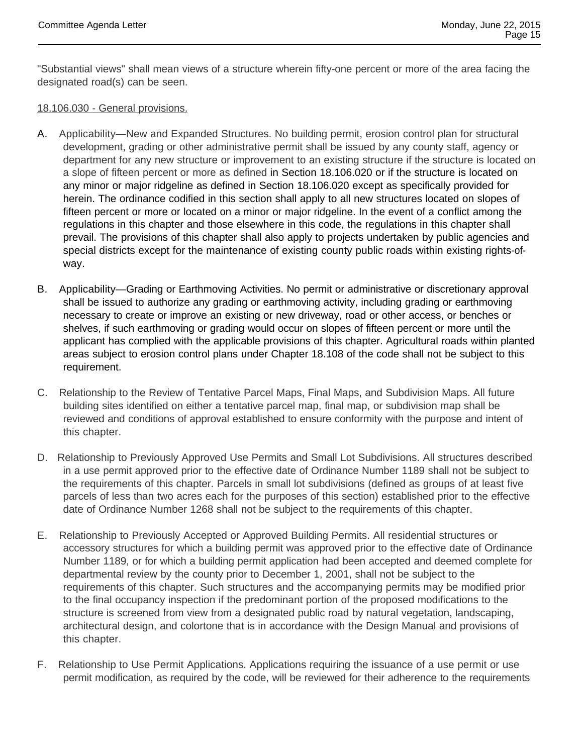"Substantial views" shall mean views of a structure wherein fifty-one percent or more of the area facing the designated road(s) can be seen.

#### 18.106.030 - General provisions.

- A. Applicability—New and Expanded Structures. No building permit, erosion control plan for structural development, grading or other administrative permit shall be issued by any county staff, agency or department for any new structure or improvement to an existing structure if the structure is located on a slope of fifteen percent or more as defined in Section 18.106.020 or if the structure is located on any minor or major ridgeline as defined in Section 18.106.020 except as specifically provided for herein. The ordinance codified in this section shall apply to all new structures located on slopes of fifteen percent or more or located on a minor or major ridgeline. In the event of a conflict among the regulations in this chapter and those elsewhere in this code, the regulations in this chapter shall prevail. The provisions of this chapter shall also apply to projects undertaken by public agencies and special districts except for the maintenance of existing county public roads within existing rights-ofway.
- B. Applicability—Grading or Earthmoving Activities. No permit or administrative or discretionary approval shall be issued to authorize any grading or earthmoving activity, including grading or earthmoving necessary to create or improve an existing or new driveway, road or other access, or benches or shelves, if such earthmoving or grading would occur on slopes of fifteen percent or more until the applicant has complied with the applicable provisions of this chapter. Agricultural roads within planted areas subject to erosion control plans under Chapter 18.108 of the code shall not be subject to this requirement.
- C. Relationship to the Review of Tentative Parcel Maps, Final Maps, and Subdivision Maps. All future building sites identified on either a tentative parcel map, final map, or subdivision map shall be reviewed and conditions of approval established to ensure conformity with the purpose and intent of this chapter.
- D. Relationship to Previously Approved Use Permits and Small Lot Subdivisions. All structures described in a use permit approved prior to the effective date of Ordinance Number 1189 shall not be subject to the requirements of this chapter. Parcels in small lot subdivisions (defined as groups of at least five parcels of less than two acres each for the purposes of this section) established prior to the effective date of Ordinance Number 1268 shall not be subject to the requirements of this chapter.
- E. Relationship to Previously Accepted or Approved Building Permits. All residential structures or accessory structures for which a building permit was approved prior to the effective date of Ordinance Number 1189, or for which a building permit application had been accepted and deemed complete for departmental review by the county prior to December 1, 2001, shall not be subject to the requirements of this chapter. Such structures and the accompanying permits may be modified prior to the final occupancy inspection if the predominant portion of the proposed modifications to the structure is screened from view from a designated public road by natural vegetation, landscaping, architectural design, and colortone that is in accordance with the Design Manual and provisions of this chapter.
- F. Relationship to Use Permit Applications. Applications requiring the issuance of a use permit or use permit modification, as required by the code, will be reviewed for their adherence to the requirements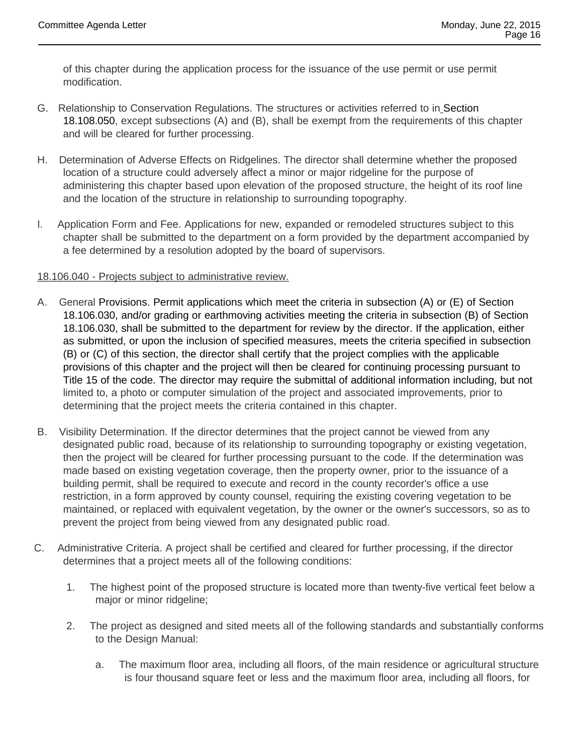of this chapter during the application process for the issuance of the use permit or use permit modification.

- G. Relationship to Conservation Regulations. The structures or activities referred to in Section 18.108.050, except subsections (A) and (B), shall be exempt from the requirements of this chapter and will be cleared for further processing.
- H. Determination of Adverse Effects on Ridgelines. The director shall determine whether the proposed location of a structure could adversely affect a minor or major ridgeline for the purpose of administering this chapter based upon elevation of the proposed structure, the height of its roof line and the location of the structure in relationship to surrounding topography.
- I. Application Form and Fee. Applications for new, expanded or remodeled structures subject to this chapter shall be submitted to the department on a form provided by the department accompanied by a fee determined by a resolution adopted by the board of supervisors.

#### 18.106.040 - Projects subject to administrative review.

- A. General Provisions. Permit applications which meet the criteria in subsection (A) or (E) of Section 18.106.030, and/or grading or earthmoving activities meeting the criteria in subsection (B) of Section 18.106.030, shall be submitted to the department for review by the director. If the application, either as submitted, or upon the inclusion of specified measures, meets the criteria specified in subsection (B) or (C) of this section, the director shall certify that the project complies with the applicable provisions of this chapter and the project will then be cleared for continuing processing pursuant to Title 15 of the code. The director may require the submittal of additional information including, but not limited to, a photo or computer simulation of the project and associated improvements, prior to determining that the project meets the criteria contained in this chapter.
- B. Visibility Determination. If the director determines that the project cannot be viewed from any designated public road, because of its relationship to surrounding topography or existing vegetation, then the project will be cleared for further processing pursuant to the code. If the determination was made based on existing vegetation coverage, then the property owner, prior to the issuance of a building permit, shall be required to execute and record in the county recorder's office a use restriction, in a form approved by county counsel, requiring the existing covering vegetation to be maintained, or replaced with equivalent vegetation, by the owner or the owner's successors, so as to prevent the project from being viewed from any designated public road.
- C. Administrative Criteria. A project shall be certified and cleared for further processing, if the director determines that a project meets all of the following conditions:
	- 1. The highest point of the proposed structure is located more than twenty-five vertical feet below a major or minor ridgeline;
	- 2. The project as designed and sited meets all of the following standards and substantially conforms to the Design Manual:
		- a. The maximum floor area, including all floors, of the main residence or agricultural structure is four thousand square feet or less and the maximum floor area, including all floors, for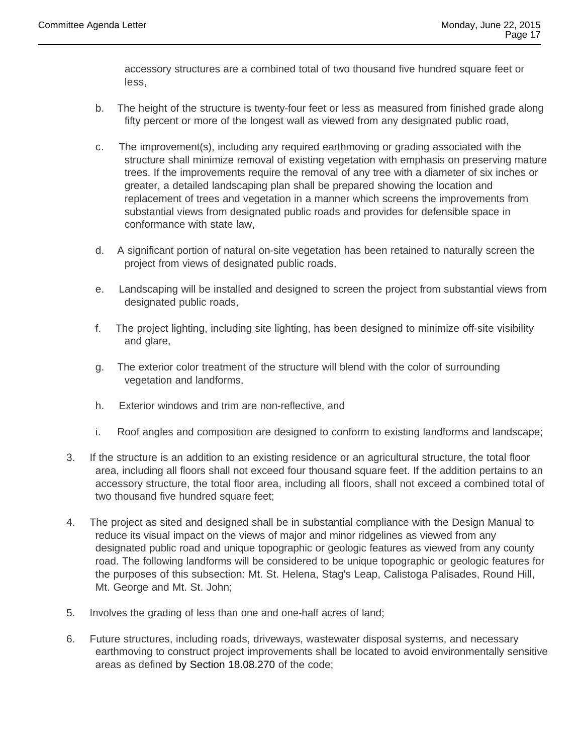accessory structures are a combined total of two thousand five hundred square feet or less,

- b. The height of the structure is twenty-four feet or less as measured from finished grade along fifty percent or more of the longest wall as viewed from any designated public road,
- c. The improvement(s), including any required earthmoving or grading associated with the structure shall minimize removal of existing vegetation with emphasis on preserving mature trees. If the improvements require the removal of any tree with a diameter of six inches or greater, a detailed landscaping plan shall be prepared showing the location and replacement of trees and vegetation in a manner which screens the improvements from substantial views from designated public roads and provides for defensible space in conformance with state law,
- d. A significant portion of natural on-site vegetation has been retained to naturally screen the project from views of designated public roads,
- e. Landscaping will be installed and designed to screen the project from substantial views from designated public roads,
- f. The project lighting, including site lighting, has been designed to minimize off-site visibility and glare,
- g. The exterior color treatment of the structure will blend with the color of surrounding vegetation and landforms,
- h. Exterior windows and trim are non-reflective, and
- i. Roof angles and composition are designed to conform to existing landforms and landscape;
- 3. If the structure is an addition to an existing residence or an agricultural structure, the total floor area, including all floors shall not exceed four thousand square feet. If the addition pertains to an accessory structure, the total floor area, including all floors, shall not exceed a combined total of two thousand five hundred square feet;
- 4. The project as sited and designed shall be in substantial compliance with the Design Manual to reduce its visual impact on the views of major and minor ridgelines as viewed from any designated public road and unique topographic or geologic features as viewed from any county road. The following landforms will be considered to be unique topographic or geologic features for the purposes of this subsection: Mt. St. Helena, Stag's Leap, Calistoga Palisades, Round Hill, Mt. George and Mt. St. John;
- 5. Involves the grading of less than one and one-half acres of land;
- 6. Future structures, including roads, driveways, wastewater disposal systems, and necessary earthmoving to construct project improvements shall be located to avoid environmentally sensitive areas as defined by Section 18.08.270 of the code;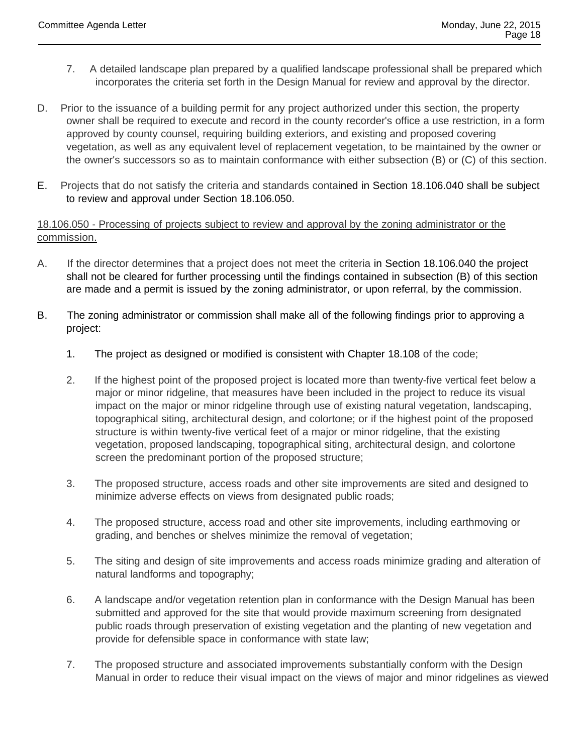- 7. A detailed landscape plan prepared by a qualified landscape professional shall be prepared which incorporates the criteria set forth in the Design Manual for review and approval by the director.
- D. Prior to the issuance of a building permit for any project authorized under this section, the property owner shall be required to execute and record in the county recorder's office a use restriction, in a form approved by county counsel, requiring building exteriors, and existing and proposed covering vegetation, as well as any equivalent level of replacement vegetation, to be maintained by the owner or the owner's successors so as to maintain conformance with either subsection (B) or (C) of this section.
- E. Projects that do not satisfy the criteria and standards contained in Section 18.106.040 shall be subject to review and approval under Section 18.106.050.

18.106.050 - Processing of projects subject to review and approval by the zoning administrator or the commission.

- A. If the director determines that a project does not meet the criteria in Section 18.106.040 the project shall not be cleared for further processing until the findings contained in subsection (B) of this section are made and a permit is issued by the zoning administrator, or upon referral, by the commission.
- B. The zoning administrator or commission shall make all of the following findings prior to approving a project:
	- 1. The project as designed or modified is consistent with Chapter 18.108 of the code;
	- 2. If the highest point of the proposed project is located more than twenty-five vertical feet below a major or minor ridgeline, that measures have been included in the project to reduce its visual impact on the major or minor ridgeline through use of existing natural vegetation, landscaping, topographical siting, architectural design, and colortone; or if the highest point of the proposed structure is within twenty-five vertical feet of a major or minor ridgeline, that the existing vegetation, proposed landscaping, topographical siting, architectural design, and colortone screen the predominant portion of the proposed structure;
	- 3. The proposed structure, access roads and other site improvements are sited and designed to minimize adverse effects on views from designated public roads;
	- 4. The proposed structure, access road and other site improvements, including earthmoving or grading, and benches or shelves minimize the removal of vegetation;
	- 5. The siting and design of site improvements and access roads minimize grading and alteration of natural landforms and topography;
	- 6. A landscape and/or vegetation retention plan in conformance with the Design Manual has been submitted and approved for the site that would provide maximum screening from designated public roads through preservation of existing vegetation and the planting of new vegetation and provide for defensible space in conformance with state law;
	- 7. The proposed structure and associated improvements substantially conform with the Design Manual in order to reduce their visual impact on the views of major and minor ridgelines as viewed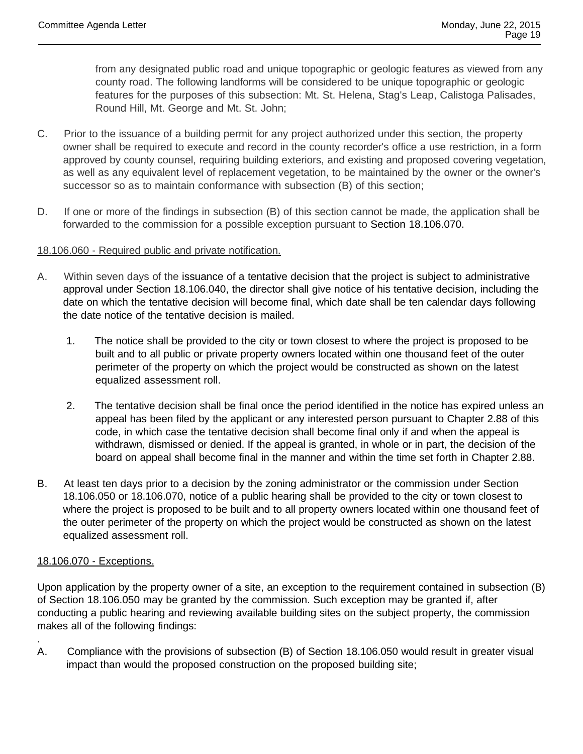from any designated public road and unique topographic or geologic features as viewed from any county road. The following landforms will be considered to be unique topographic or geologic features for the purposes of this subsection: Mt. St. Helena, Stag's Leap, Calistoga Palisades, Round Hill, Mt. George and Mt. St. John;

- C. Prior to the issuance of a building permit for any project authorized under this section, the property owner shall be required to execute and record in the county recorder's office a use restriction, in a form approved by county counsel, requiring building exteriors, and existing and proposed covering vegetation, as well as any equivalent level of replacement vegetation, to be maintained by the owner or the owner's successor so as to maintain conformance with subsection (B) of this section;
- D. If one or more of the findings in subsection (B) of this section cannot be made, the application shall be forwarded to the commission for a possible exception pursuant to Section 18.106.070.

#### 18.106.060 - Required public and private notification.

- A. Within seven days of the issuance of a tentative decision that the project is subject to administrative approval under Section 18.106.040, the director shall give notice of his tentative decision, including the date on which the tentative decision will become final, which date shall be ten calendar days following the date notice of the tentative decision is mailed.
	- 1. The notice shall be provided to the city or town closest to where the project is proposed to be built and to all public or private property owners located within one thousand feet of the outer perimeter of the property on which the project would be constructed as shown on the latest equalized assessment roll.
	- 2. The tentative decision shall be final once the period identified in the notice has expired unless an appeal has been filed by the applicant or any interested person pursuant to Chapter 2.88 of this code, in which case the tentative decision shall become final only if and when the appeal is withdrawn, dismissed or denied. If the appeal is granted, in whole or in part, the decision of the board on appeal shall become final in the manner and within the time set forth in Chapter 2.88.
- B. At least ten days prior to a decision by the zoning administrator or the commission under Section 18.106.050 or 18.106.070, notice of a public hearing shall be provided to the city or town closest to where the project is proposed to be built and to all property owners located within one thousand feet of the outer perimeter of the property on which the project would be constructed as shown on the latest equalized assessment roll.

# 18.106.070 - Exceptions.

.

Upon application by the property owner of a site, an exception to the requirement contained in subsection (B) of Section 18.106.050 may be granted by the commission. Such exception may be granted if, after conducting a public hearing and reviewing available building sites on the subject property, the commission makes all of the following findings:

A. Compliance with the provisions of subsection (B) of Section 18.106.050 would result in greater visual impact than would the proposed construction on the proposed building site;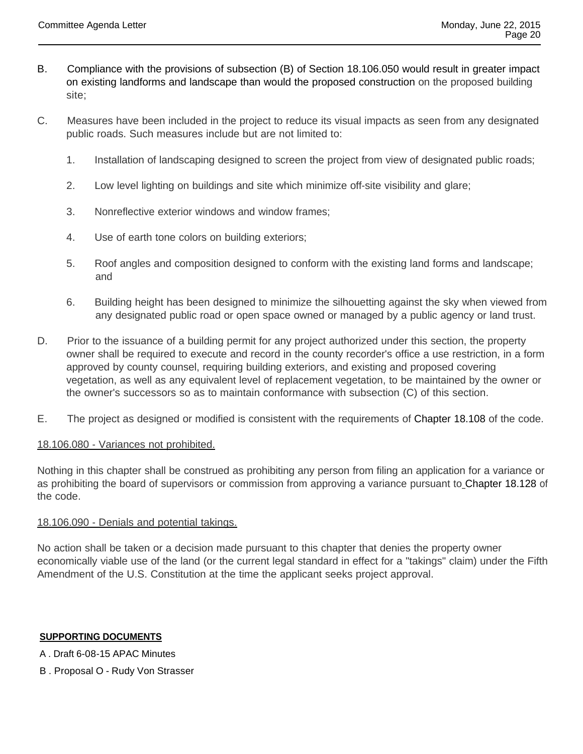- B. Compliance with the provisions of subsection (B) of Section 18.106.050 would result in greater impact on existing landforms and landscape than would the proposed construction on the proposed building site;
- C. Measures have been included in the project to reduce its visual impacts as seen from any designated public roads. Such measures include but are not limited to:
	- 1. Installation of landscaping designed to screen the project from view of designated public roads;
	- 2. Low level lighting on buildings and site which minimize off-site visibility and glare;
	- 3. Nonreflective exterior windows and window frames;
	- 4. Use of earth tone colors on building exteriors;
	- 5. Roof angles and composition designed to conform with the existing land forms and landscape; and
	- 6. Building height has been designed to minimize the silhouetting against the sky when viewed from any designated public road or open space owned or managed by a public agency or land trust.
- D. Prior to the issuance of a building permit for any project authorized under this section, the property owner shall be required to execute and record in the county recorder's office a use restriction, in a form approved by county counsel, requiring building exteriors, and existing and proposed covering vegetation, as well as any equivalent level of replacement vegetation, to be maintained by the owner or the owner's successors so as to maintain conformance with subsection (C) of this section.
- E. The project as designed or modified is consistent with the requirements of Chapter 18.108 of the code.

#### 18.106.080 - Variances not prohibited.

Nothing in this chapter shall be construed as prohibiting any person from filing an application for a variance or as prohibiting the board of supervisors or commission from approving a variance pursuant to Chapter 18.128 of the code.

#### 18.106.090 - Denials and potential takings.

No action shall be taken or a decision made pursuant to this chapter that denies the property owner economically viable use of the land (or the current legal standard in effect for a "takings" claim) under the Fifth Amendment of the U.S. Constitution at the time the applicant seeks project approval.

#### **SUPPORTING DOCUMENTS**

- A . Draft 6-08-15 APAC Minutes
- B . Proposal O Rudy Von Strasser